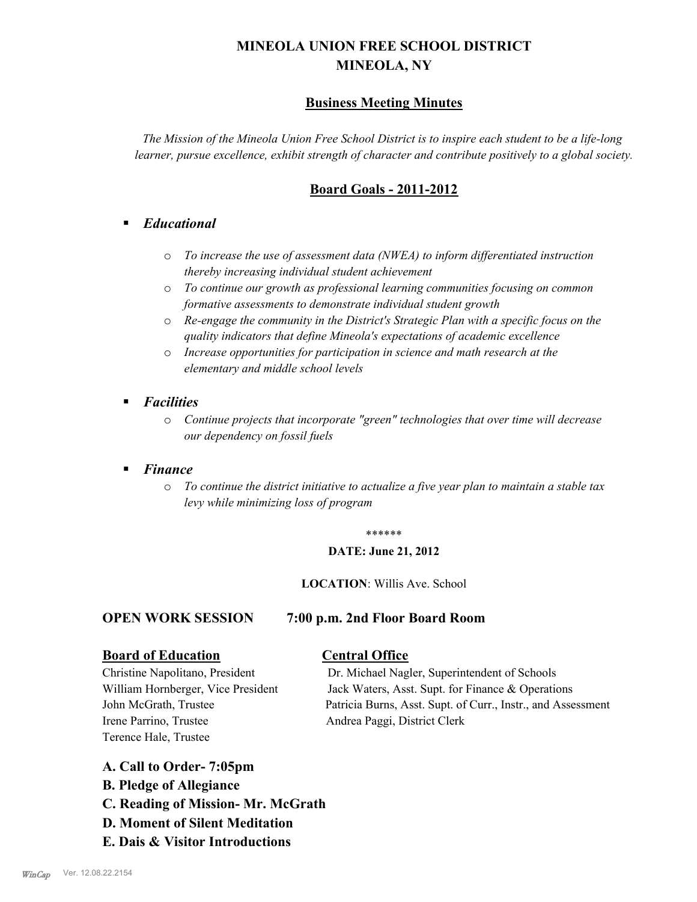# **MINEOLA UNION FREE SCHOOL DISTRICT MINEOLA, NY**

## **Business Meeting Minutes**

*The Mission of the Mineola Union Free School District is to inspire each student to be a life-long learner, pursue excellence, exhibit strength of character and contribute positively to a global society.*

# **Board Goals - 2011-2012**

### § *Educational*

- o *To increase the use of assessment data (NWEA) to inform differentiated instruction thereby increasing individual student achievement*
- o *To continue our growth as professional learning communities focusing on common formative assessments to demonstrate individual student growth*
- o *Re-engage the community in the District's Strategic Plan with a specific focus on the quality indicators that define Mineola's expectations of academic excellence*
- o *Increase opportunities for participation in science and math research at the elementary and middle school levels*
- *Facilities* 
	- o *Continue projects that incorporate "green" technologies that over time will decrease our dependency on fossil fuels*
- § *Finance*
	- o *To continue the district initiative to actualize a five year plan to maintain a stable tax levy while minimizing loss of program*

### \*\*\*\*\*\*

### **DATE: June 21, 2012**

### **LOCATION**: Willis Ave. School

### **OPEN WORK SESSION 7:00 p.m. 2nd Floor Board Room**

# **Board of Education Central Office**

Irene Parrino, Trustee Andrea Paggi, District Clerk Terence Hale, Trustee

Christine Napolitano, President Dr. Michael Nagler, Superintendent of Schools William Hornberger, Vice President Jack Waters, Asst. Supt. for Finance & Operations John McGrath, Trustee Patricia Burns, Asst. Supt. of Curr., Instr., and Assessment

- **A. Call to Order- 7:05pm**
- **B. Pledge of Allegiance**
- **C. Reading of Mission- Mr. McGrath**
- **D. Moment of Silent Meditation**
- **E. Dais & Visitor Introductions**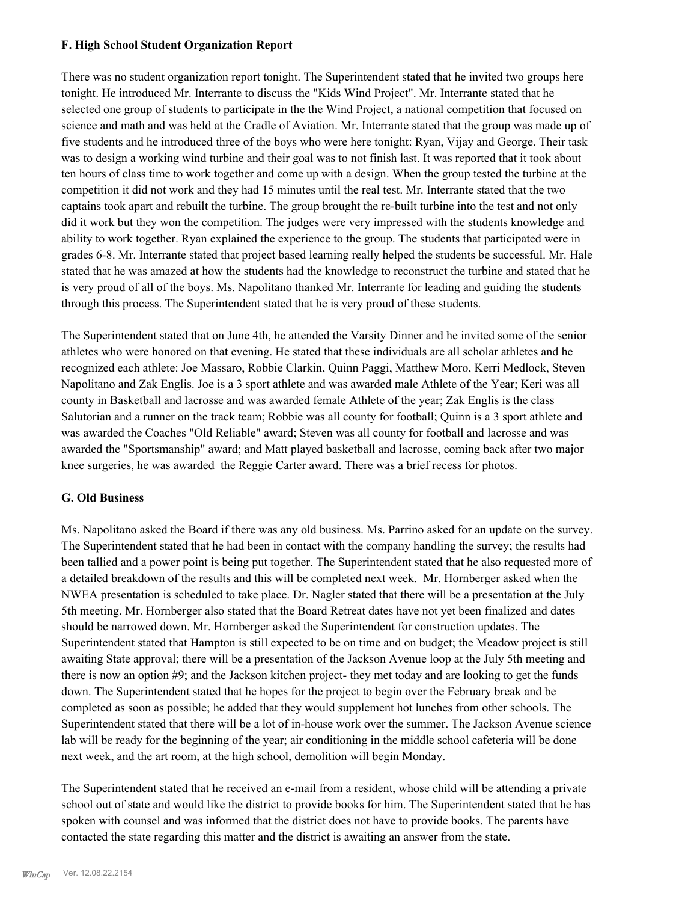### **F. High School Student Organization Report**

There was no student organization report tonight. The Superintendent stated that he invited two groups here tonight. He introduced Mr. Interrante to discuss the "Kids Wind Project". Mr. Interrante stated that he selected one group of students to participate in the the Wind Project, a national competition that focused on science and math and was held at the Cradle of Aviation. Mr. Interrante stated that the group was made up of five students and he introduced three of the boys who were here tonight: Ryan, Vijay and George. Their task was to design a working wind turbine and their goal was to not finish last. It was reported that it took about ten hours of class time to work together and come up with a design. When the group tested the turbine at the competition it did not work and they had 15 minutes until the real test. Mr. Interrante stated that the two captains took apart and rebuilt the turbine. The group brought the re-built turbine into the test and not only did it work but they won the competition. The judges were very impressed with the students knowledge and ability to work together. Ryan explained the experience to the group. The students that participated were in grades 6-8. Mr. Interrante stated that project based learning really helped the students be successful. Mr. Hale stated that he was amazed at how the students had the knowledge to reconstruct the turbine and stated that he is very proud of all of the boys. Ms. Napolitano thanked Mr. Interrante for leading and guiding the students through this process. The Superintendent stated that he is very proud of these students.

The Superintendent stated that on June 4th, he attended the Varsity Dinner and he invited some of the senior athletes who were honored on that evening. He stated that these individuals are all scholar athletes and he recognized each athlete: Joe Massaro, Robbie Clarkin, Quinn Paggi, Matthew Moro, Kerri Medlock, Steven Napolitano and Zak Englis. Joe is a 3 sport athlete and was awarded male Athlete of the Year; Keri was all county in Basketball and lacrosse and was awarded female Athlete of the year; Zak Englis is the class Salutorian and a runner on the track team; Robbie was all county for football; Quinn is a 3 sport athlete and was awarded the Coaches "Old Reliable" award; Steven was all county for football and lacrosse and was awarded the "Sportsmanship" award; and Matt played basketball and lacrosse, coming back after two major knee surgeries, he was awarded the Reggie Carter award. There was a brief recess for photos.

### **G. Old Business**

Ms. Napolitano asked the Board if there was any old business. Ms. Parrino asked for an update on the survey. The Superintendent stated that he had been in contact with the company handling the survey; the results had been tallied and a power point is being put together. The Superintendent stated that he also requested more of a detailed breakdown of the results and this will be completed next week. Mr. Hornberger asked when the NWEA presentation is scheduled to take place. Dr. Nagler stated that there will be a presentation at the July 5th meeting. Mr. Hornberger also stated that the Board Retreat dates have not yet been finalized and dates should be narrowed down. Mr. Hornberger asked the Superintendent for construction updates. The Superintendent stated that Hampton is still expected to be on time and on budget; the Meadow project is still awaiting State approval; there will be a presentation of the Jackson Avenue loop at the July 5th meeting and there is now an option #9; and the Jackson kitchen project- they met today and are looking to get the funds down. The Superintendent stated that he hopes for the project to begin over the February break and be completed as soon as possible; he added that they would supplement hot lunches from other schools. The Superintendent stated that there will be a lot of in-house work over the summer. The Jackson Avenue science lab will be ready for the beginning of the year; air conditioning in the middle school cafeteria will be done next week, and the art room, at the high school, demolition will begin Monday.

The Superintendent stated that he received an e-mail from a resident, whose child will be attending a private school out of state and would like the district to provide books for him. The Superintendent stated that he has spoken with counsel and was informed that the district does not have to provide books. The parents have contacted the state regarding this matter and the district is awaiting an answer from the state.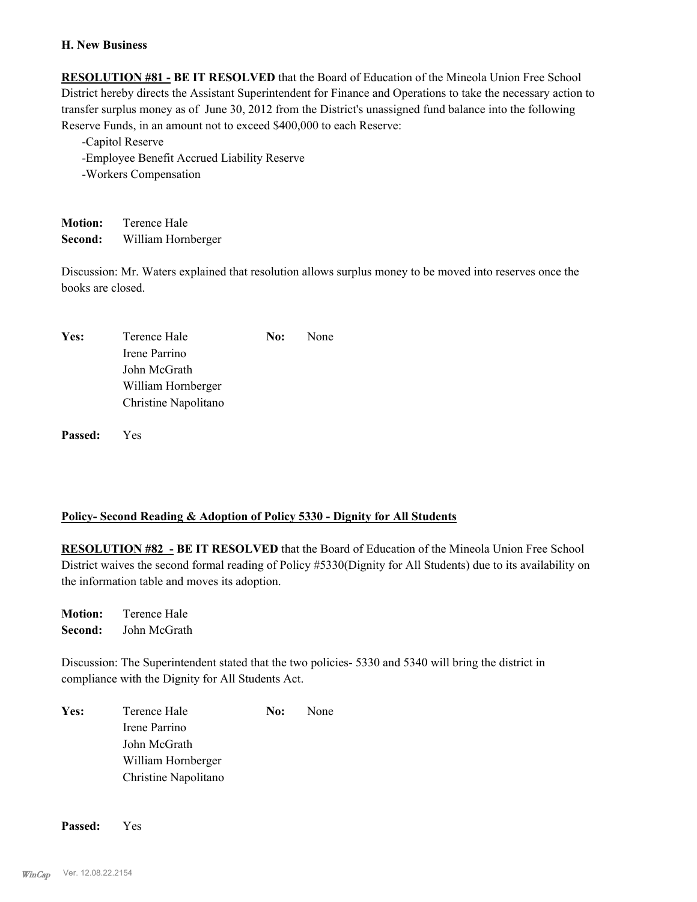### **H. New Business**

**RESOLUTION #81 - BE IT RESOLVED** that the Board of Education of the Mineola Union Free School District hereby directs the Assistant Superintendent for Finance and Operations to take the necessary action to transfer surplus money as of June 30, 2012 from the District's unassigned fund balance into the following Reserve Funds, in an amount not to exceed \$400,000 to each Reserve:

-Capitol Reserve -Employee Benefit Accrued Liability Reserve -Workers Compensation

**Motion:** Terence Hale **Second:** William Hornberger

Discussion: Mr. Waters explained that resolution allows surplus money to be moved into reserves once the books are closed.

| Yes: | Terence Hale         | <b>No:</b> None |
|------|----------------------|-----------------|
|      | Irene Parrino        |                 |
|      | John McGrath         |                 |
|      | William Hornberger   |                 |
|      | Christine Napolitano |                 |

**Passed:** Yes

### **Policy- Second Reading & Adoption of Policy 5330 - Dignity for All Students**

**RESOLUTION #82 - BE IT RESOLVED** that the Board of Education of the Mineola Union Free School District waives the second formal reading of Policy #5330(Dignity for All Students) due to its availability on the information table and moves its adoption.

**Motion:** Terence Hale **Second:** John McGrath

Discussion: The Superintendent stated that the two policies- 5330 and 5340 will bring the district in compliance with the Dignity for All Students Act.

| Yes: | Terence Hale         | No: | None |
|------|----------------------|-----|------|
|      | Irene Parrino        |     |      |
|      | John McGrath         |     |      |
|      | William Hornberger   |     |      |
|      | Christine Napolitano |     |      |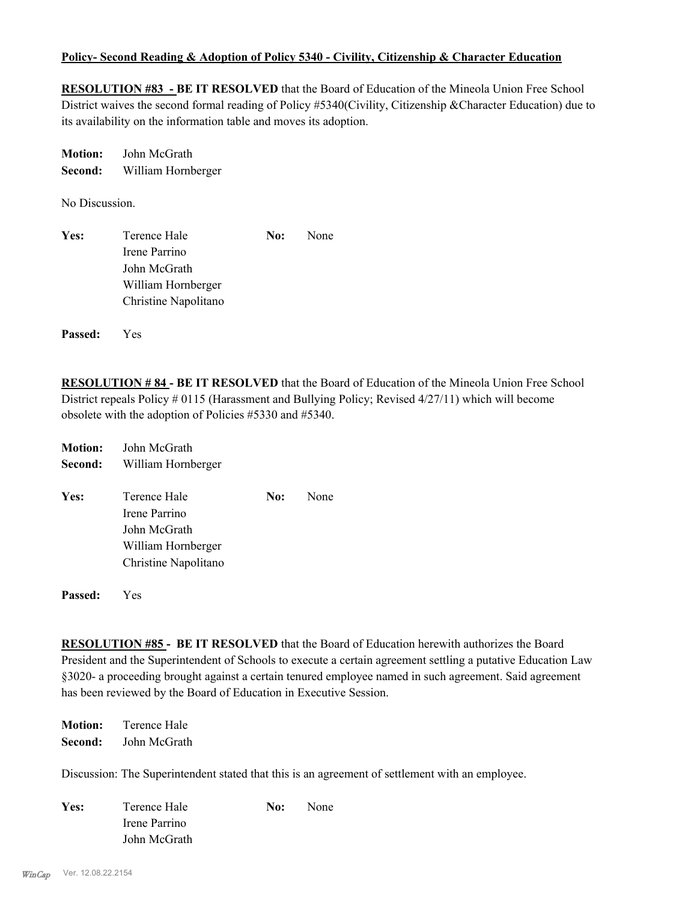### **Policy- Second Reading & Adoption of Policy 5340 - Civility, Citizenship & Character Education**

**RESOLUTION #83 - BE IT RESOLVED** that the Board of Education of the Mineola Union Free School District waives the second formal reading of Policy #5340(Civility, Citizenship &Character Education) due to its availability on the information table and moves its adoption.

| <b>Motion:</b> | John McGrath       |
|----------------|--------------------|
| Second:        | William Hornberger |

No Discussion.

| Yes: | Terence Hale         | No: | None |
|------|----------------------|-----|------|
|      | Irene Parrino        |     |      |
|      | John McGrath         |     |      |
|      | William Hornberger   |     |      |
|      | Christine Napolitano |     |      |
|      |                      |     |      |

**Passed:** Yes

**RESOLUTION # 84 - BE IT RESOLVED** that the Board of Education of the Mineola Union Free School District repeals Policy # 0115 (Harassment and Bullying Policy; Revised 4/27/11) which will become obsolete with the adoption of Policies #5330 and #5340.

| <b>Motion:</b> | John McGrath         |     |      |
|----------------|----------------------|-----|------|
| Second:        | William Hornberger   |     |      |
| Yes:           | Terence Hale         | No: | None |
|                | Irene Parrino        |     |      |
|                | John McGrath         |     |      |
|                | William Hornberger   |     |      |
|                | Christine Napolitano |     |      |
| <b>Passed:</b> | Yes                  |     |      |

**RESOLUTION #85 - BE IT RESOLVED** that the Board of Education herewith authorizes the Board President and the Superintendent of Schools to execute a certain agreement settling a putative Education Law §3020- a proceeding brought against a certain tenured employee named in such agreement. Said agreement has been reviewed by the Board of Education in Executive Session.

**Motion:** Terence Hale **Second:** John McGrath

Discussion: The Superintendent stated that this is an agreement of settlement with an employee.

| Yes: | Terence Hale  | No: | None |
|------|---------------|-----|------|
|      | Irene Parrino |     |      |
|      | John McGrath  |     |      |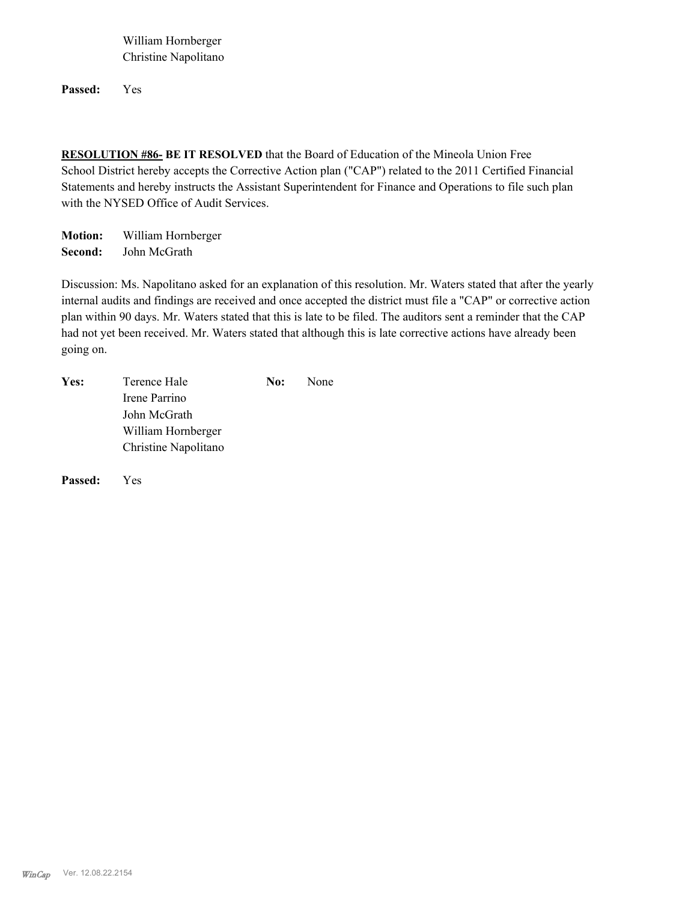William Hornberger Christine Napolitano

**Passed:** Yes

**RESOLUTION #86- BE IT RESOLVED** that the Board of Education of the Mineola Union Free School District hereby accepts the Corrective Action plan ("CAP") related to the 2011 Certified Financial Statements and hereby instructs the Assistant Superintendent for Finance and Operations to file such plan with the NYSED Office of Audit Services.

**Motion:** William Hornberger **Second:** John McGrath

Discussion: Ms. Napolitano asked for an explanation of this resolution. Mr. Waters stated that after the yearly internal audits and findings are received and once accepted the district must file a "CAP" or corrective action plan within 90 days. Mr. Waters stated that this is late to be filed. The auditors sent a reminder that the CAP had not yet been received. Mr. Waters stated that although this is late corrective actions have already been going on.

| Yes: | Terence Hale         | No: | None |
|------|----------------------|-----|------|
|      | Irene Parrino        |     |      |
|      | John McGrath         |     |      |
|      | William Hornberger   |     |      |
|      | Christine Napolitano |     |      |
|      |                      |     |      |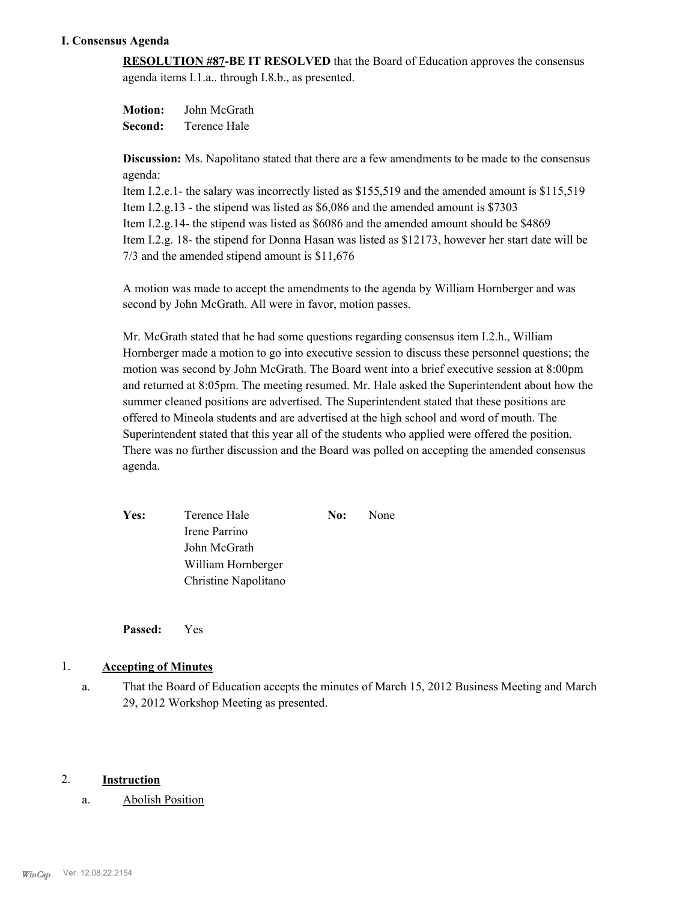### **I. Consensus Agenda**

**RESOLUTION #87-BE IT RESOLVED** that the Board of Education approves the consensus agenda items I.1.a.. through I.8.b., as presented.

**Motion:** John McGrath **Second:** Terence Hale

**Discussion:** Ms. Napolitano stated that there are a few amendments to be made to the consensus agenda:

Item I.2.e.1- the salary was incorrectly listed as \$155,519 and the amended amount is \$115,519 Item I.2.g.13 - the stipend was listed as \$6,086 and the amended amount is \$7303 Item I.2.g.14- the stipend was listed as \$6086 and the amended amount should be \$4869 Item I.2.g. 18- the stipend for Donna Hasan was listed as \$12173, however her start date will be 7/3 and the amended stipend amount is \$11,676

A motion was made to accept the amendments to the agenda by William Hornberger and was second by John McGrath. All were in favor, motion passes.

Mr. McGrath stated that he had some questions regarding consensus item I.2.h., William Hornberger made a motion to go into executive session to discuss these personnel questions; the motion was second by John McGrath. The Board went into a brief executive session at 8:00pm and returned at 8:05pm. The meeting resumed. Mr. Hale asked the Superintendent about how the summer cleaned positions are advertised. The Superintendent stated that these positions are offered to Mineola students and are advertised at the high school and word of mouth. The Superintendent stated that this year all of the students who applied were offered the position. There was no further discussion and the Board was polled on accepting the amended consensus agenda.

Yes: Terence Hale **No:** None Irene Parrino John McGrath William Hornberger Christine Napolitano

**Passed:** Yes

### 1. **Accepting of Minutes**

That the Board of Education accepts the minutes of March 15, 2012 Business Meeting and March 29, 2012 Workshop Meeting as presented. a.

### 2. **Instruction**

### a. Abolish Position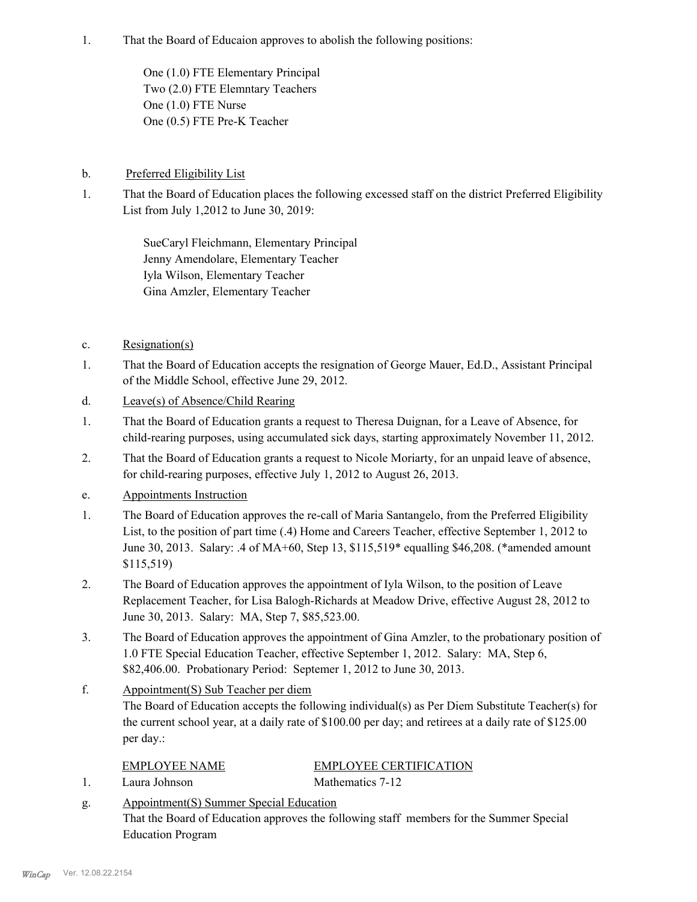That the Board of Educaion approves to abolish the following positions: 1.

> One (1.0) FTE Elementary Principal Two (2.0) FTE Elemntary Teachers One (1.0) FTE Nurse One (0.5) FTE Pre-K Teacher

### b. Preferred Eligibility List

That the Board of Education places the following excessed staff on the district Preferred Eligibility List from July 1,2012 to June 30, 2019: 1.

> SueCaryl Fleichmann, Elementary Principal Jenny Amendolare, Elementary Teacher Iyla Wilson, Elementary Teacher Gina Amzler, Elementary Teacher

- c. Resignation(s)
- That the Board of Education accepts the resignation of George Mauer, Ed.D., Assistant Principal of the Middle School, effective June 29, 2012. 1.
- d. Leave(s) of Absence/Child Rearing
- That the Board of Education grants a request to Theresa Duignan, for a Leave of Absence, for child-rearing purposes, using accumulated sick days, starting approximately November 11, 2012. 1.
- That the Board of Education grants a request to Nicole Moriarty, for an unpaid leave of absence, for child-rearing purposes, effective July 1, 2012 to August 26, 2013. 2.
- e. Appointments Instruction
- The Board of Education approves the re-call of Maria Santangelo, from the Preferred Eligibility List, to the position of part time (.4) Home and Careers Teacher, effective September 1, 2012 to June 30, 2013. Salary: .4 of MA+60, Step 13, \$115,519\* equalling \$46,208. (\*amended amount \$115,519) 1.
- The Board of Education approves the appointment of Iyla Wilson, to the position of Leave Replacement Teacher, for Lisa Balogh-Richards at Meadow Drive, effective August 28, 2012 to June 30, 2013. Salary: MA, Step 7, \$85,523.00. 2.
- The Board of Education approves the appointment of Gina Amzler, to the probationary position of 1.0 FTE Special Education Teacher, effective September 1, 2012. Salary: MA, Step 6, \$82,406.00. Probationary Period: Septemer 1, 2012 to June 30, 2013. 3.
- Appointment(S) Sub Teacher per diem The Board of Education accepts the following individual(s) as Per Diem Substitute Teacher(s) for the current school year, at a daily rate of \$100.00 per day; and retirees at a daily rate of \$125.00 per day.: f.

### 1. Laura Johnson Mathematics 7-12

# EMPLOYEE NAME EMPLOYEE CERTIFICATION

Appointment(S) Summer Special Education That the Board of Education approves the following staff members for the Summer Special Education Program g.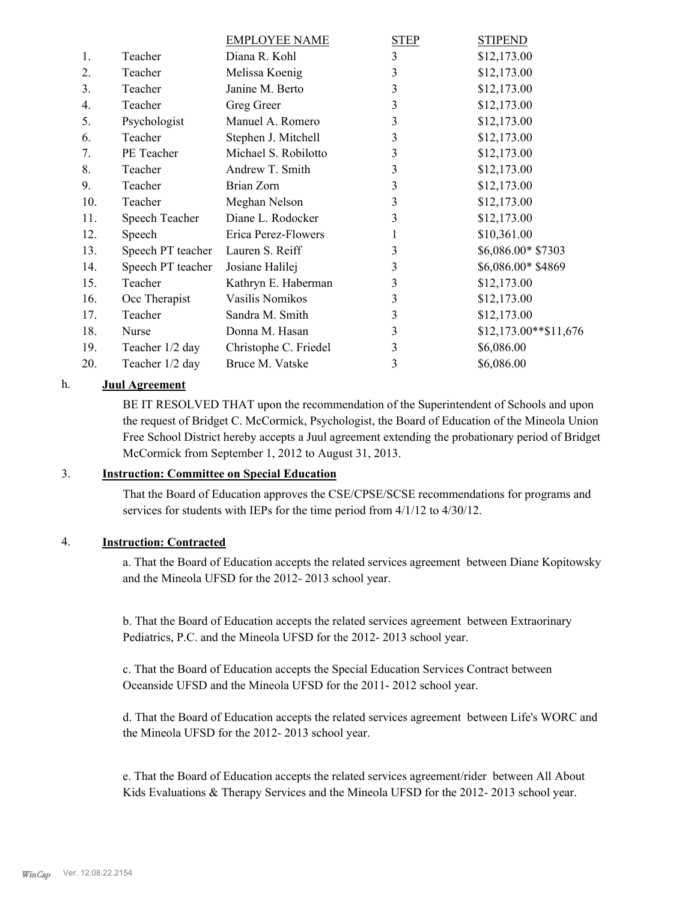|                  |                   | <b>EMPLOYEE NAME</b>  | <b>STEP</b> | <b>STIPEND</b>        |
|------------------|-------------------|-----------------------|-------------|-----------------------|
| 1.               | Teacher           | Diana R. Kohl         | 3           | \$12,173.00           |
| 2.               | Teacher           | Melissa Koenig        | 3           | \$12,173.00           |
| 3 <sub>1</sub>   | Teacher           | Janine M. Berto       | 3           | \$12,173.00           |
| $\overline{4}$ . | Teacher           | Greg Greer            | 3           | \$12,173.00           |
| 5.               | Psychologist      | Manuel A. Romero      | 3           | \$12,173.00           |
| 6.               | Teacher           | Stephen J. Mitchell   | 3           | \$12,173.00           |
| 7.               | PE Teacher        | Michael S. Robilotto  | 3           | \$12,173.00           |
| 8.               | Teacher           | Andrew T. Smith       | 3           | \$12,173.00           |
| 9.               | Teacher           | Brian Zorn            | 3           | \$12,173.00           |
| 10.              | Teacher           | Meghan Nelson         | 3           | \$12,173.00           |
| 11.              | Speech Teacher    | Diane L. Rodocker     | 3           | \$12,173.00           |
| 12.              | Speech            | Erica Perez-Flowers   | 1           | \$10,361.00           |
| 13.              | Speech PT teacher | Lauren S. Reiff       | 3           | \$6,086.00* \$7303    |
| 14.              | Speech PT teacher | Josiane Halilej       | 3           | \$6,086.00* \$4869    |
| 15.              | Teacher           | Kathryn E. Haberman   | 3           | \$12,173.00           |
| 16.              | Occ Therapist     | Vasilis Nomikos       | 3           | \$12,173.00           |
| 17.              | Teacher           | Sandra M. Smith       | 3           | \$12,173.00           |
| 18.              | Nurse             | Donna M. Hasan        | 3           | $$12,173.00**$11,676$ |
| 19.              | Teacher 1/2 day   | Christophe C. Friedel | 3           | \$6,086.00            |
| 20.              | Teacher 1/2 day   | Bruce M. Vatske       | 3           | \$6,086.00            |
|                  |                   |                       |             |                       |

### h. **Juul Agreement**

BE IT RESOLVED THAT upon the recommendation of the Superintendent of Schools and upon the request of Bridget C. McCormick, Psychologist, the Board of Education of the Mineola Union Free School District hereby accepts a Juul agreement extending the probationary period of Bridget McCormick from September 1, 2012 to August 31, 2013.

### 3. **Instruction: Committee on Special Education**

That the Board of Education approves the CSE/CPSE/SCSE recommendations for programs and services for students with IEPs for the time period from 4/1/12 to 4/30/12.

### 4. **Instruction: Contracted**

a. That the Board of Education accepts the related services agreement between Diane Kopitowsky and the Mineola UFSD for the 2012- 2013 school year.

b. That the Board of Education accepts the related services agreement between Extraorinary Pediatrics, P.C. and the Mineola UFSD for the 2012- 2013 school year.

c. That the Board of Education accepts the Special Education Services Contract between Oceanside UFSD and the Mineola UFSD for the 2011- 2012 school year.

d. That the Board of Education accepts the related services agreement between Life's WORC and the Mineola UFSD for the 2012- 2013 school year.

e. That the Board of Education accepts the related services agreement/rider between All About Kids Evaluations & Therapy Services and the Mineola UFSD for the 2012- 2013 school year.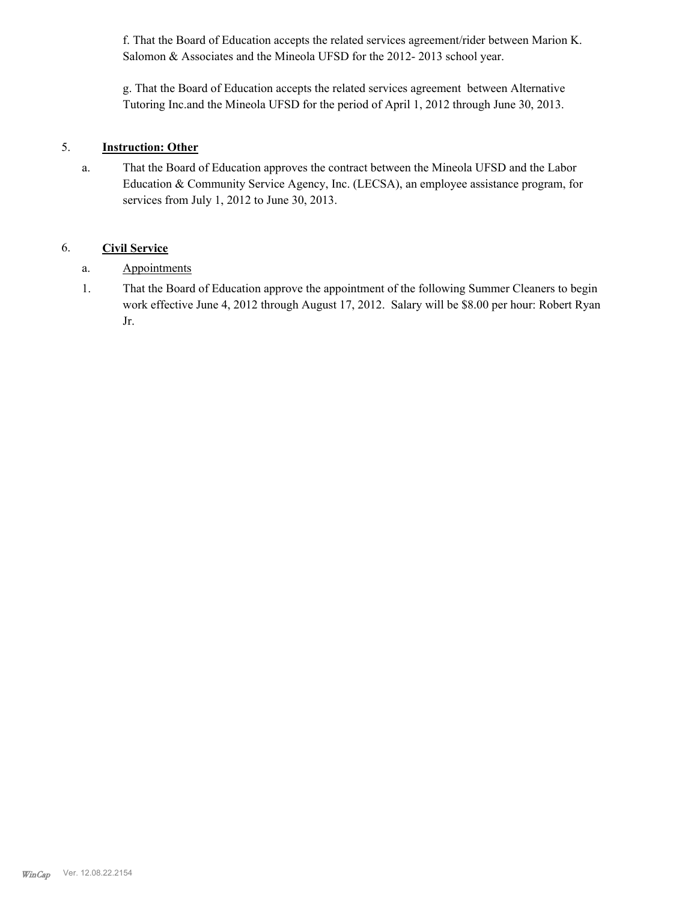f. That the Board of Education accepts the related services agreement/rider between Marion K. Salomon & Associates and the Mineola UFSD for the 2012-2013 school year.

g. That the Board of Education accepts the related services agreement between Alternative Tutoring Inc.and the Mineola UFSD for the period of April 1, 2012 through June 30, 2013.

### 5. **Instruction: Other**

That the Board of Education approves the contract between the Mineola UFSD and the Labor Education & Community Service Agency, Inc. (LECSA), an employee assistance program, for services from July 1, 2012 to June 30, 2013. a.

### 6. **Civil Service**

- a. Appointments
- That the Board of Education approve the appointment of the following Summer Cleaners to begin work effective June 4, 2012 through August 17, 2012. Salary will be \$8.00 per hour: Robert Ryan Jr. 1.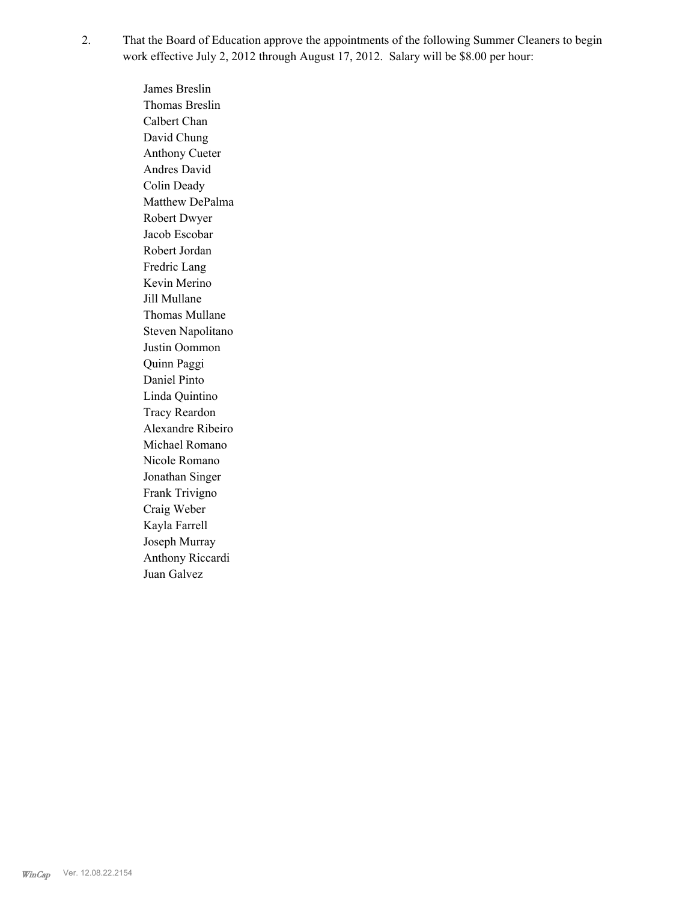That the Board of Education approve the appointments of the following Summer Cleaners to begin work effective July 2, 2012 through August 17, 2012. Salary will be \$8.00 per hour: 2.

> James Breslin Thomas Breslin Calbert Chan David Chung Anthony Cueter Andres David Colin Deady Matthew DePalma Robert Dwyer Jacob Escobar Robert Jordan Fredric Lang Kevin Merino Jill Mullane Thomas Mullane Steven Napolitano Justin Oommon Quinn Paggi Daniel Pinto Linda Quintino Tracy Reardon Alexandre Ribeiro Michael Romano Nicole Romano Jonathan Singer Frank Trivigno Craig Weber Kayla Farrell Joseph Murray Anthony Riccardi Juan Galvez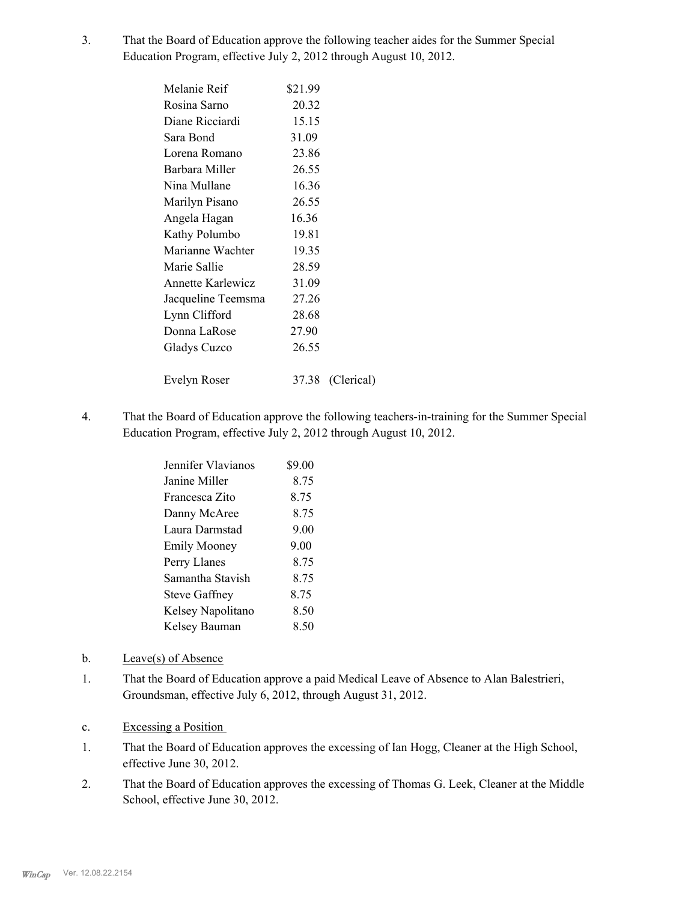That the Board of Education approve the following teacher aides for the Summer Special Education Program, effective July 2, 2012 through August 10, 2012. 3.

| Melanie Reif             | \$21.99 |                  |
|--------------------------|---------|------------------|
| Rosina Sarno             | 20.32   |                  |
| Diane Ricciardi          | 15.15   |                  |
| Sara Bond                | 31.09   |                  |
| Lorena Romano            | 23.86   |                  |
| Barbara Miller           | 26.55   |                  |
| Nina Mullane             | 16.36   |                  |
| Marilyn Pisano           | 26.55   |                  |
| Angela Hagan             | 16.36   |                  |
| Kathy Polumbo            | 19.81   |                  |
| Marianne Wachter         | 19.35   |                  |
| Marie Sallie             | 28.59   |                  |
| <b>Annette Karlewicz</b> | 31.09   |                  |
| Jacqueline Teemsma       | 27.26   |                  |
| Lynn Clifford            | 28.68   |                  |
| Donna LaRose             | 27.90   |                  |
| Gladys Cuzco             | 26.55   |                  |
|                          |         |                  |
| Evelyn Roser             |         | 37.38 (Clerical) |

That the Board of Education approve the following teachers-in-training for the Summer Special Education Program, effective July 2, 2012 through August 10, 2012. 4.

| Jennifer Vlavianos   | \$9.00 |
|----------------------|--------|
| Janine Miller        | 8.75   |
| Francesca Zito       | 8 75   |
| Danny McAree         | 8.75   |
| Laura Darmstad       | 9.00   |
| <b>Emily Mooney</b>  | 9.00   |
| Perry Llanes         | 8.75   |
| Samantha Stavish     | 8 75   |
| <b>Steve Gaffney</b> | 8.75   |
| Kelsey Napolitano    | 8.50   |
| Kelsey Bauman        | 8.50   |
|                      |        |

- b. Leave(s) of Absence
- That the Board of Education approve a paid Medical Leave of Absence to Alan Balestrieri, Groundsman, effective July 6, 2012, through August 31, 2012. 1.
- c. Excessing a Position
- That the Board of Education approves the excessing of Ian Hogg, Cleaner at the High School, effective June 30, 2012. 1.
- That the Board of Education approves the excessing of Thomas G. Leek, Cleaner at the Middle School, effective June 30, 2012. 2.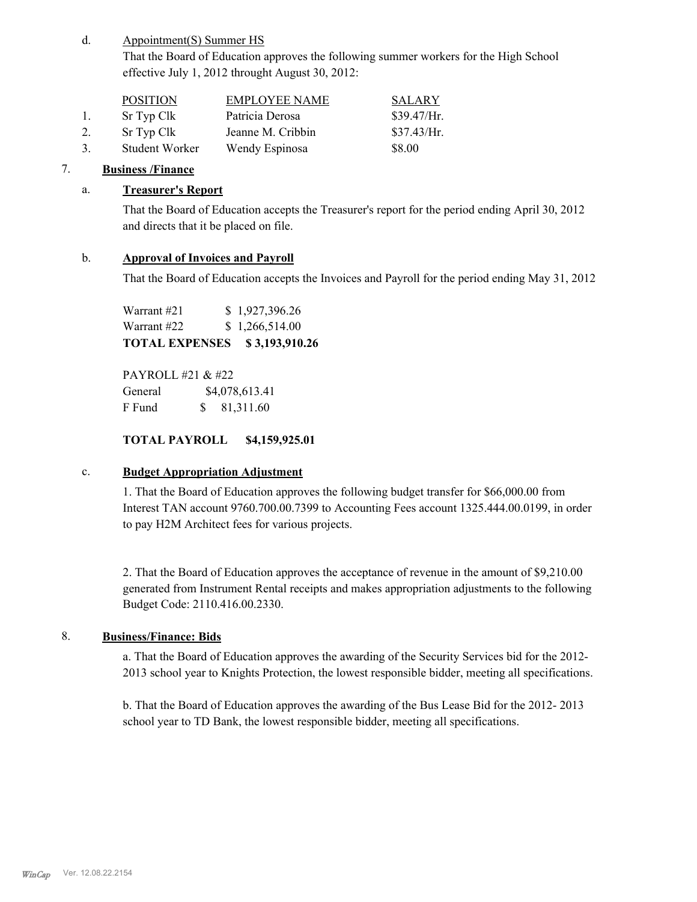#### Appointment(S) Summer HS d.

That the Board of Education approves the following summer workers for the High School effective July 1, 2012 throught August 30, 2012:

|               | <b>POSITION</b> | <b>EMPLOYEE NAME</b> | <b>SALARY</b> |
|---------------|-----------------|----------------------|---------------|
| $\mathbf{L}$  | Sr Typ Clk      | Patricia Derosa      | \$39.47/Hr.   |
| 2.            | Sr Typ Clk      | Jeanne M. Cribbin    | \$37.43/Hr.   |
| $\mathcal{R}$ | Student Worker  | Wendy Espinosa       | \$8.00        |

### 7. **Business /Finance**

### a. **Treasurer's Report**

That the Board of Education accepts the Treasurer's report for the period ending April 30, 2012 and directs that it be placed on file.

### b. **Approval of Invoices and Payroll**

That the Board of Education accepts the Invoices and Payroll for the period ending May 31, 2012

Warrant #21 \$ 1,927,396.26 Warrant #22 \$ 1,266,514.00 **TOTAL EXPENSES \$ 3,193,910.26**

PAYROLL #21 & #22 General  $$4,078,613.41$ F Fund \$ 81,311.60

### **TOTAL PAYROLL \$4,159,925.01**

### c. **Budget Appropriation Adjustment**

1. That the Board of Education approves the following budget transfer for \$66,000.00 from Interest TAN account 9760.700.00.7399 to Accounting Fees account 1325.444.00.0199, in order to pay H2M Architect fees for various projects.

2. That the Board of Education approves the acceptance of revenue in the amount of \$9,210.00 generated from Instrument Rental receipts and makes appropriation adjustments to the following Budget Code: 2110.416.00.2330.

### 8. **Business/Finance: Bids**

a. That the Board of Education approves the awarding of the Security Services bid for the 2012- 2013 school year to Knights Protection, the lowest responsible bidder, meeting all specifications.

b. That the Board of Education approves the awarding of the Bus Lease Bid for the 2012- 2013 school year to TD Bank, the lowest responsible bidder, meeting all specifications.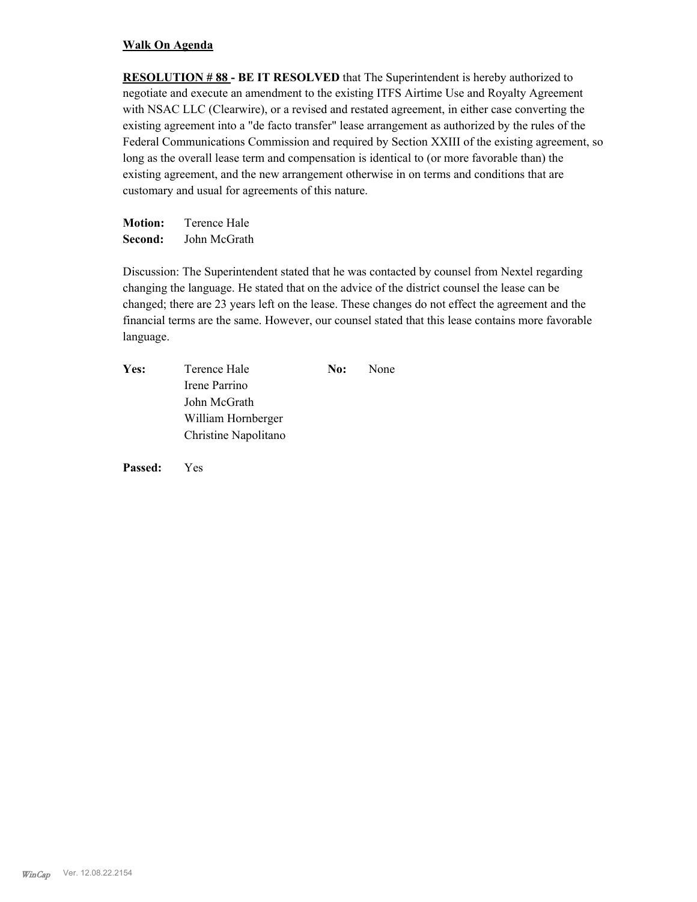### **Walk On Agenda**

**RESOLUTION # 88 - BE IT RESOLVED** that The Superintendent is hereby authorized to negotiate and execute an amendment to the existing ITFS Airtime Use and Royalty Agreement with NSAC LLC (Clearwire), or a revised and restated agreement, in either case converting the existing agreement into a "de facto transfer" lease arrangement as authorized by the rules of the Federal Communications Commission and required by Section XXIII of the existing agreement, so long as the overall lease term and compensation is identical to (or more favorable than) the existing agreement, and the new arrangement otherwise in on terms and conditions that are customary and usual for agreements of this nature.

**Motion:** Terence Hale **Second:** John McGrath

Discussion: The Superintendent stated that he was contacted by counsel from Nextel regarding changing the language. He stated that on the advice of the district counsel the lease can be changed; there are 23 years left on the lease. These changes do not effect the agreement and the financial terms are the same. However, our counsel stated that this lease contains more favorable language.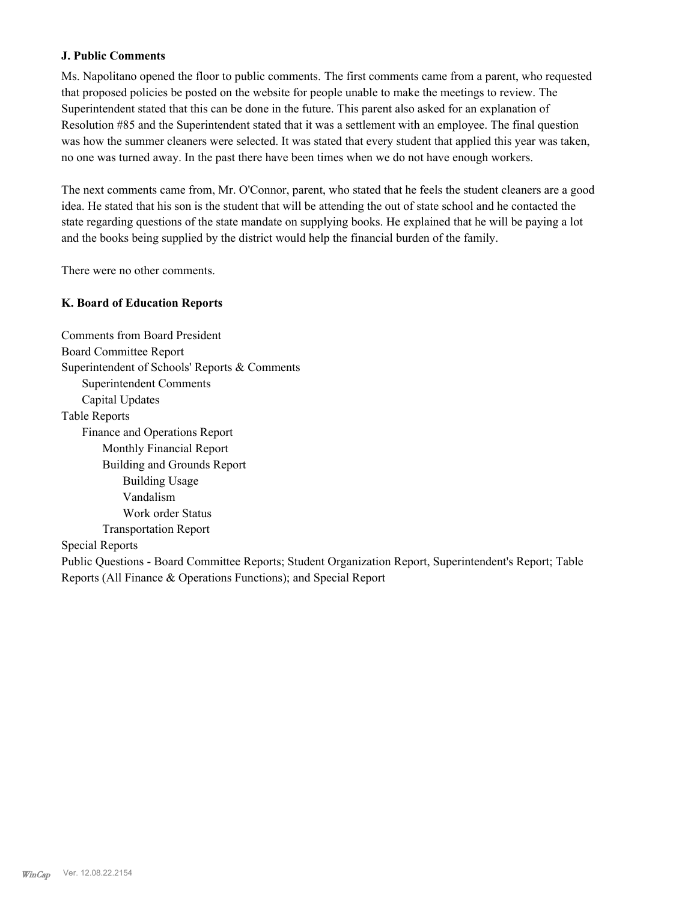### **J. Public Comments**

Ms. Napolitano opened the floor to public comments. The first comments came from a parent, who requested that proposed policies be posted on the website for people unable to make the meetings to review. The Superintendent stated that this can be done in the future. This parent also asked for an explanation of Resolution #85 and the Superintendent stated that it was a settlement with an employee. The final question was how the summer cleaners were selected. It was stated that every student that applied this year was taken, no one was turned away. In the past there have been times when we do not have enough workers.

The next comments came from, Mr. O'Connor, parent, who stated that he feels the student cleaners are a good idea. He stated that his son is the student that will be attending the out of state school and he contacted the state regarding questions of the state mandate on supplying books. He explained that he will be paying a lot and the books being supplied by the district would help the financial burden of the family.

There were no other comments.

### **K. Board of Education Reports**

Comments from Board President Board Committee Report Superintendent of Schools' Reports & Comments Superintendent Comments Capital Updates Table Reports Finance and Operations Report Monthly Financial Report Building and Grounds Report Building Usage Vandalism Work order Status Transportation Report Special Reports Public Questions - Board Committee Reports; Student Organization Report, Superintendent's Report; Table Reports (All Finance & Operations Functions); and Special Report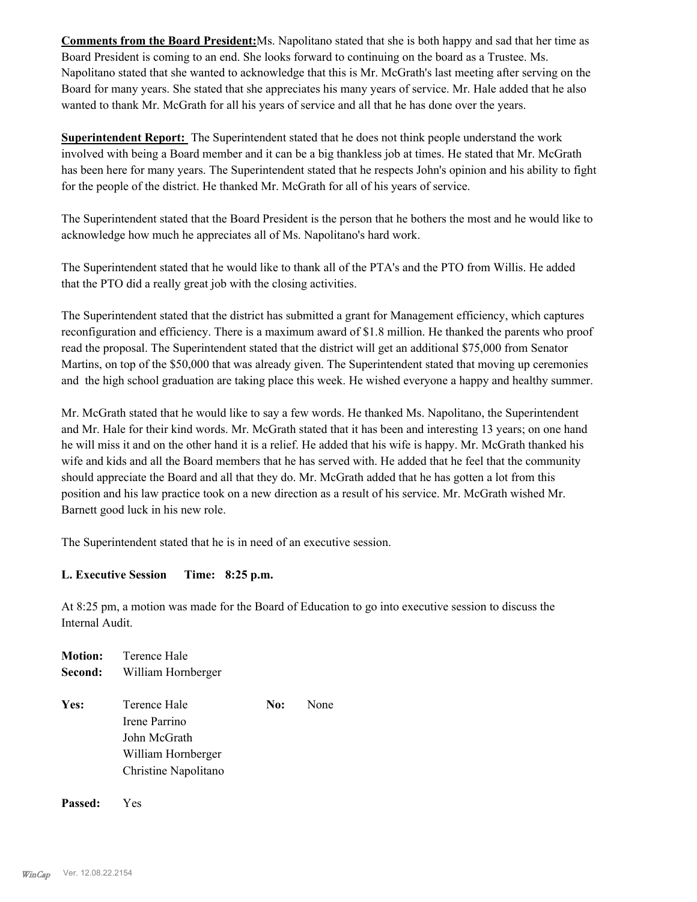**Comments from the Board President:**Ms. Napolitano stated that she is both happy and sad that her time as Board President is coming to an end. She looks forward to continuing on the board as a Trustee. Ms. Napolitano stated that she wanted to acknowledge that this is Mr. McGrath's last meeting after serving on the Board for many years. She stated that she appreciates his many years of service. Mr. Hale added that he also wanted to thank Mr. McGrath for all his years of service and all that he has done over the years.

**Superintendent Report:** The Superintendent stated that he does not think people understand the work involved with being a Board member and it can be a big thankless job at times. He stated that Mr. McGrath has been here for many years. The Superintendent stated that he respects John's opinion and his ability to fight for the people of the district. He thanked Mr. McGrath for all of his years of service.

The Superintendent stated that the Board President is the person that he bothers the most and he would like to acknowledge how much he appreciates all of Ms. Napolitano's hard work.

The Superintendent stated that he would like to thank all of the PTA's and the PTO from Willis. He added that the PTO did a really great job with the closing activities.

The Superintendent stated that the district has submitted a grant for Management efficiency, which captures reconfiguration and efficiency. There is a maximum award of \$1.8 million. He thanked the parents who proof read the proposal. The Superintendent stated that the district will get an additional \$75,000 from Senator Martins, on top of the \$50,000 that was already given. The Superintendent stated that moving up ceremonies and the high school graduation are taking place this week. He wished everyone a happy and healthy summer.

Mr. McGrath stated that he would like to say a few words. He thanked Ms. Napolitano, the Superintendent and Mr. Hale for their kind words. Mr. McGrath stated that it has been and interesting 13 years; on one hand he will miss it and on the other hand it is a relief. He added that his wife is happy. Mr. McGrath thanked his wife and kids and all the Board members that he has served with. He added that he feel that the community should appreciate the Board and all that they do. Mr. McGrath added that he has gotten a lot from this position and his law practice took on a new direction as a result of his service. Mr. McGrath wished Mr. Barnett good luck in his new role.

The Superintendent stated that he is in need of an executive session.

### **L. Executive Session Time: 8:25 p.m.**

At 8:25 pm, a motion was made for the Board of Education to go into executive session to discuss the Internal Audit.

|         | <b>Motion:</b> Terence Hale                   |     |      |
|---------|-----------------------------------------------|-----|------|
| Second: | William Hornberger                            |     |      |
| Yes:    | Terence Hale<br>Irene Parrino<br>John McGrath | No: | None |
|         | William Hornberger<br>Christine Napolitano    |     |      |
|         |                                               |     |      |